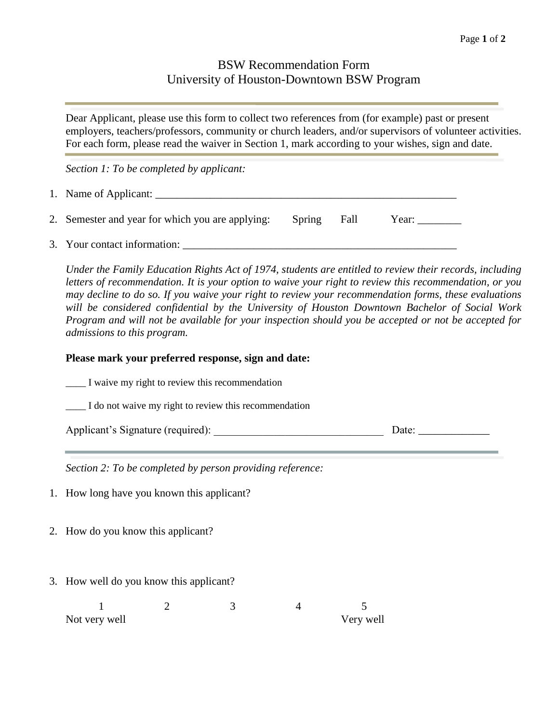## BSW Recommendation Form University of Houston-Downtown BSW Program

Dear Applicant, please use this form to collect two references from (for example) past or present employers, teachers/professors, community or church leaders, and/or supervisors of volunteer activities. For each form, please read the waiver in Section 1, mark according to your wishes, sign and date.

*Section 1: To be completed by applicant:*

| 1. Name of Applicant: |  |
|-----------------------|--|
|                       |  |

|  | 2. Semester and year for which you are applying: Spring Fall Year: |  |  |  |  |
|--|--------------------------------------------------------------------|--|--|--|--|
|--|--------------------------------------------------------------------|--|--|--|--|

3. Your contact information: \_\_\_\_\_\_\_\_\_\_\_\_\_\_\_\_\_\_\_\_\_\_\_\_\_\_\_\_\_\_\_\_\_\_\_\_\_\_\_\_\_\_\_\_\_\_\_\_\_\_

*Under the Family Education Rights Act of 1974, students are entitled to review their records, including letters of recommendation. It is your option to waive your right to review this recommendation, or you may decline to do so. If you waive your right to review your recommendation forms, these evaluations will be considered confidential by the University of Houston Downtown Bachelor of Social Work Program and will not be available for your inspection should you be accepted or not be accepted for admissions to this program.* 

## **Please mark your preferred response, sign and date:**

|                                                           | $\mathbf{I}$ waive my right to review this recommendation |   |  |  |       |  |  |
|-----------------------------------------------------------|-----------------------------------------------------------|---|--|--|-------|--|--|
|                                                           | I do not waive my right to review this recommendation     |   |  |  |       |  |  |
|                                                           |                                                           |   |  |  | Date: |  |  |
| Section 2: To be completed by person providing reference: |                                                           |   |  |  |       |  |  |
| 1. How long have you known this applicant?                |                                                           |   |  |  |       |  |  |
| 2. How do you know this applicant?                        |                                                           |   |  |  |       |  |  |
| 3. How well do you know this applicant?                   |                                                           |   |  |  |       |  |  |
|                                                           |                                                           | 3 |  |  |       |  |  |

Not very well very well